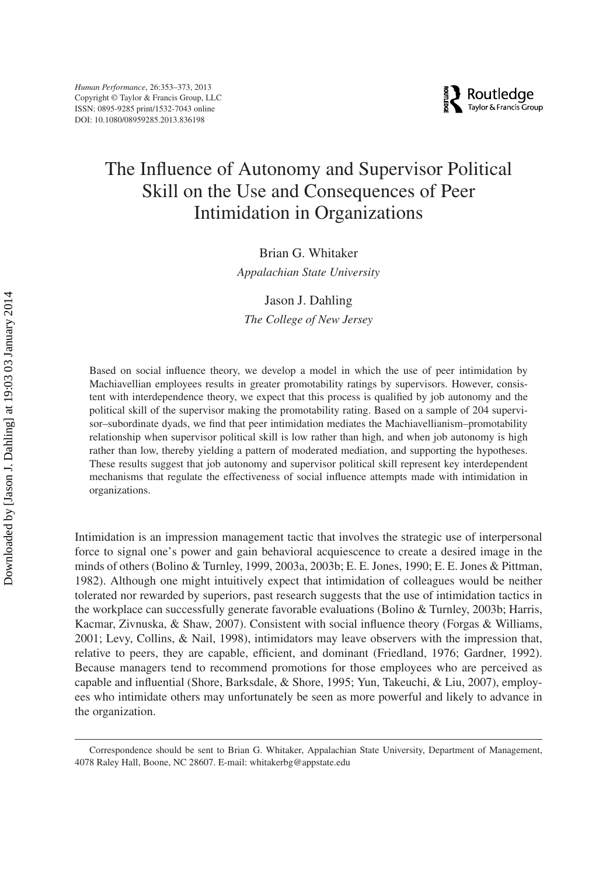# The Influence of Autonomy and Supervisor Political Skill on the Use and Consequences of Peer Intimidation in Organizations

Brian G. Whitaker

*Appalachian State University*

Jason J. Dahling *The College of New Jersey*

Based on social influence theory, we develop a model in which the use of peer intimidation by Machiavellian employees results in greater promotability ratings by supervisors. However, consistent with interdependence theory, we expect that this process is qualified by job autonomy and the political skill of the supervisor making the promotability rating. Based on a sample of 204 supervisor–subordinate dyads, we find that peer intimidation mediates the Machiavellianism–promotability relationship when supervisor political skill is low rather than high, and when job autonomy is high rather than low, thereby yielding a pattern of moderated mediation, and supporting the hypotheses. These results suggest that job autonomy and supervisor political skill represent key interdependent mechanisms that regulate the effectiveness of social influence attempts made with intimidation in organizations.

Intimidation is an impression management tactic that involves the strategic use of interpersonal force to signal one's power and gain behavioral acquiescence to create a desired image in the minds of others (Bolino & Turnley, 1999, 2003a, 2003b; E. E. Jones, 1990; E. E. Jones & Pittman, 1982). Although one might intuitively expect that intimidation of colleagues would be neither tolerated nor rewarded by superiors, past research suggests that the use of intimidation tactics in the workplace can successfully generate favorable evaluations (Bolino & Turnley, 2003b; Harris, Kacmar, Zivnuska, & Shaw, 2007). Consistent with social influence theory (Forgas & Williams, 2001; Levy, Collins, & Nail, 1998), intimidators may leave observers with the impression that, relative to peers, they are capable, efficient, and dominant (Friedland, 1976; Gardner, 1992). Because managers tend to recommend promotions for those employees who are perceived as capable and influential (Shore, Barksdale, & Shore, 1995; Yun, Takeuchi, & Liu, 2007), employees who intimidate others may unfortunately be seen as more powerful and likely to advance in the organization.

Correspondence should be sent to Brian G. Whitaker, Appalachian State University, Department of Management, 4078 Raley Hall, Boone, NC 28607. E-mail: whitakerbg@appstate.edu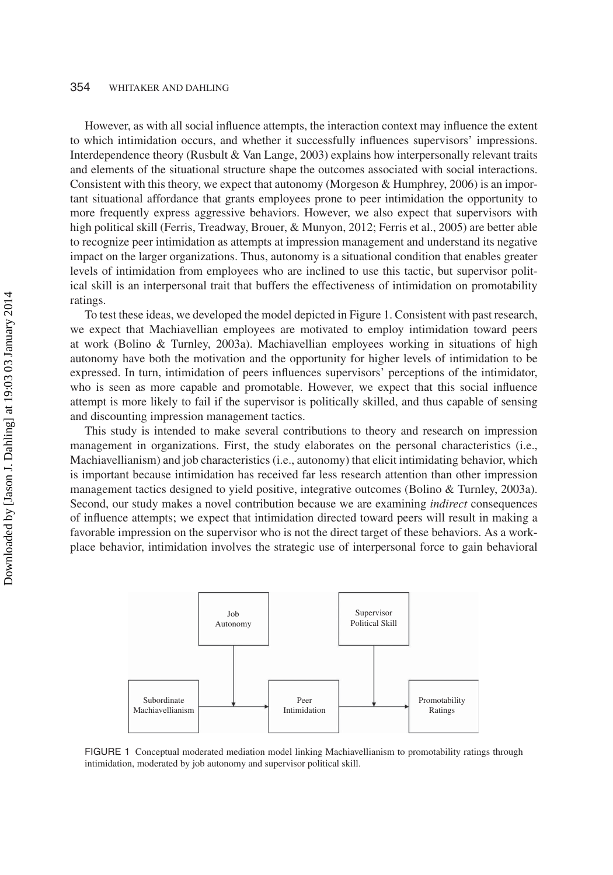However, as with all social influence attempts, the interaction context may influence the extent to which intimidation occurs, and whether it successfully influences supervisors' impressions. Interdependence theory (Rusbult & Van Lange, 2003) explains how interpersonally relevant traits and elements of the situational structure shape the outcomes associated with social interactions. Consistent with this theory, we expect that autonomy (Morgeson & Humphrey, 2006) is an important situational affordance that grants employees prone to peer intimidation the opportunity to more frequently express aggressive behaviors. However, we also expect that supervisors with high political skill (Ferris, Treadway, Brouer, & Munyon, 2012; Ferris et al., 2005) are better able to recognize peer intimidation as attempts at impression management and understand its negative impact on the larger organizations. Thus, autonomy is a situational condition that enables greater levels of intimidation from employees who are inclined to use this tactic, but supervisor political skill is an interpersonal trait that buffers the effectiveness of intimidation on promotability ratings.

To test these ideas, we developed the model depicted in Figure 1. Consistent with past research, we expect that Machiavellian employees are motivated to employ intimidation toward peers at work (Bolino & Turnley, 2003a). Machiavellian employees working in situations of high autonomy have both the motivation and the opportunity for higher levels of intimidation to be expressed. In turn, intimidation of peers influences supervisors' perceptions of the intimidator, who is seen as more capable and promotable. However, we expect that this social influence attempt is more likely to fail if the supervisor is politically skilled, and thus capable of sensing and discounting impression management tactics.

This study is intended to make several contributions to theory and research on impression management in organizations. First, the study elaborates on the personal characteristics (i.e., Machiavellianism) and job characteristics (i.e., autonomy) that elicit intimidating behavior, which is important because intimidation has received far less research attention than other impression management tactics designed to yield positive, integrative outcomes (Bolino & Turnley, 2003a). Second, our study makes a novel contribution because we are examining *indirect* consequences of influence attempts; we expect that intimidation directed toward peers will result in making a favorable impression on the supervisor who is not the direct target of these behaviors. As a workplace behavior, intimidation involves the strategic use of interpersonal force to gain behavioral



FIGURE 1 Conceptual moderated mediation model linking Machiavellianism to promotability ratings through intimidation, moderated by job autonomy and supervisor political skill.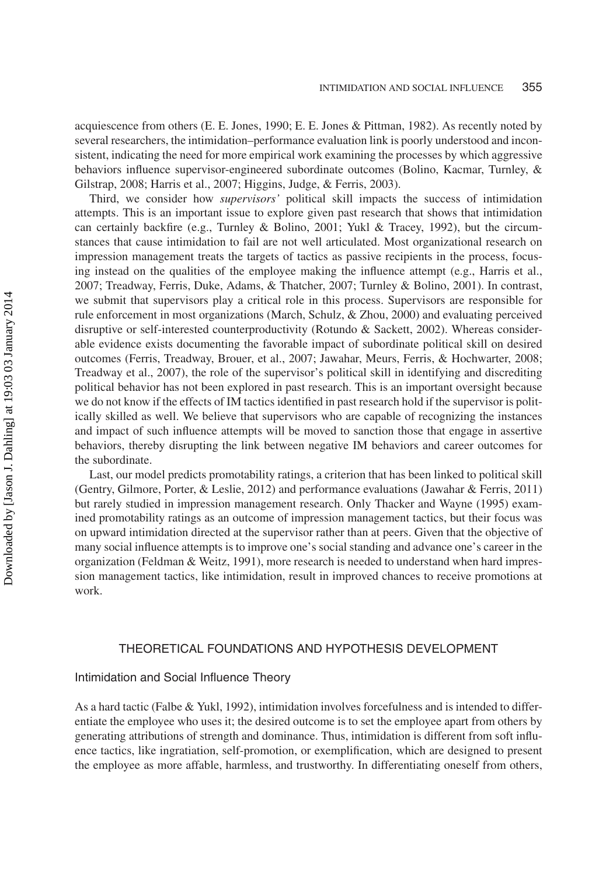acquiescence from others (E. E. Jones, 1990; E. E. Jones & Pittman, 1982). As recently noted by several researchers, the intimidation–performance evaluation link is poorly understood and inconsistent, indicating the need for more empirical work examining the processes by which aggressive behaviors influence supervisor-engineered subordinate outcomes (Bolino, Kacmar, Turnley, & Gilstrap, 2008; Harris et al., 2007; Higgins, Judge, & Ferris, 2003).

Third, we consider how *supervisors'* political skill impacts the success of intimidation attempts. This is an important issue to explore given past research that shows that intimidation can certainly backfire (e.g., Turnley & Bolino, 2001; Yukl & Tracey, 1992), but the circumstances that cause intimidation to fail are not well articulated. Most organizational research on impression management treats the targets of tactics as passive recipients in the process, focusing instead on the qualities of the employee making the influence attempt (e.g., Harris et al., 2007; Treadway, Ferris, Duke, Adams, & Thatcher, 2007; Turnley & Bolino, 2001). In contrast, we submit that supervisors play a critical role in this process. Supervisors are responsible for rule enforcement in most organizations (March, Schulz, & Zhou, 2000) and evaluating perceived disruptive or self-interested counterproductivity (Rotundo & Sackett, 2002). Whereas considerable evidence exists documenting the favorable impact of subordinate political skill on desired outcomes (Ferris, Treadway, Brouer, et al., 2007; Jawahar, Meurs, Ferris, & Hochwarter, 2008; Treadway et al., 2007), the role of the supervisor's political skill in identifying and discrediting political behavior has not been explored in past research. This is an important oversight because we do not know if the effects of IM tactics identified in past research hold if the supervisor is politically skilled as well. We believe that supervisors who are capable of recognizing the instances and impact of such influence attempts will be moved to sanction those that engage in assertive behaviors, thereby disrupting the link between negative IM behaviors and career outcomes for the subordinate.

Last, our model predicts promotability ratings, a criterion that has been linked to political skill (Gentry, Gilmore, Porter, & Leslie, 2012) and performance evaluations (Jawahar & Ferris, 2011) but rarely studied in impression management research. Only Thacker and Wayne (1995) examined promotability ratings as an outcome of impression management tactics, but their focus was on upward intimidation directed at the supervisor rather than at peers. Given that the objective of many social influence attempts is to improve one's social standing and advance one's career in the organization (Feldman & Weitz, 1991), more research is needed to understand when hard impression management tactics, like intimidation, result in improved chances to receive promotions at work.

## THEORETICAL FOUNDATIONS AND HYPOTHESIS DEVELOPMENT

## Intimidation and Social Influence Theory

As a hard tactic (Falbe & Yukl, 1992), intimidation involves forcefulness and is intended to differentiate the employee who uses it; the desired outcome is to set the employee apart from others by generating attributions of strength and dominance. Thus, intimidation is different from soft influence tactics, like ingratiation, self-promotion, or exemplification, which are designed to present the employee as more affable, harmless, and trustworthy. In differentiating oneself from others,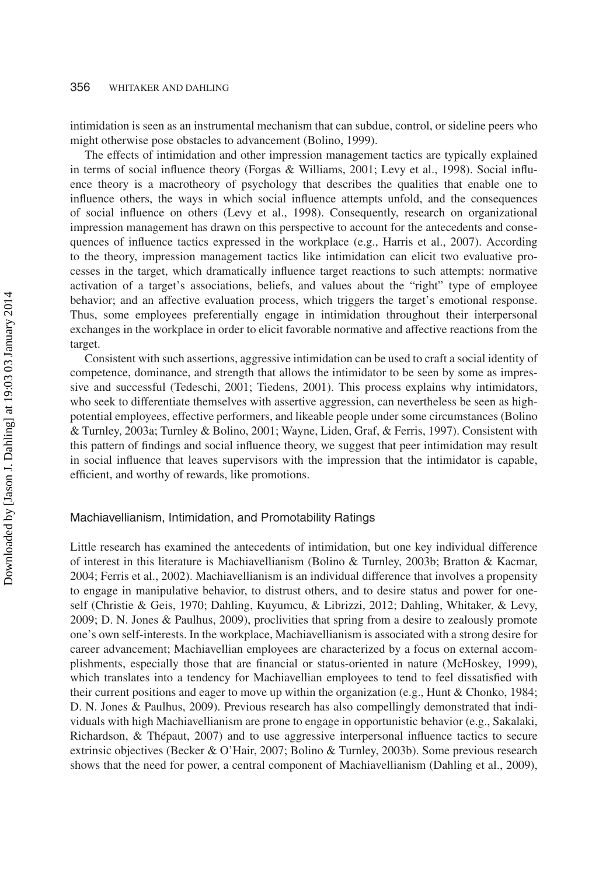intimidation is seen as an instrumental mechanism that can subdue, control, or sideline peers who might otherwise pose obstacles to advancement (Bolino, 1999).

The effects of intimidation and other impression management tactics are typically explained in terms of social influence theory (Forgas & Williams, 2001; Levy et al., 1998). Social influence theory is a macrotheory of psychology that describes the qualities that enable one to influence others, the ways in which social influence attempts unfold, and the consequences of social influence on others (Levy et al., 1998). Consequently, research on organizational impression management has drawn on this perspective to account for the antecedents and consequences of influence tactics expressed in the workplace (e.g., Harris et al., 2007). According to the theory, impression management tactics like intimidation can elicit two evaluative processes in the target, which dramatically influence target reactions to such attempts: normative activation of a target's associations, beliefs, and values about the "right" type of employee behavior; and an affective evaluation process, which triggers the target's emotional response. Thus, some employees preferentially engage in intimidation throughout their interpersonal exchanges in the workplace in order to elicit favorable normative and affective reactions from the target.

Consistent with such assertions, aggressive intimidation can be used to craft a social identity of competence, dominance, and strength that allows the intimidator to be seen by some as impressive and successful (Tedeschi, 2001; Tiedens, 2001). This process explains why intimidators, who seek to differentiate themselves with assertive aggression, can nevertheless be seen as highpotential employees, effective performers, and likeable people under some circumstances (Bolino & Turnley, 2003a; Turnley & Bolino, 2001; Wayne, Liden, Graf, & Ferris, 1997). Consistent with this pattern of findings and social influence theory, we suggest that peer intimidation may result in social influence that leaves supervisors with the impression that the intimidator is capable, efficient, and worthy of rewards, like promotions.

#### Machiavellianism, Intimidation, and Promotability Ratings

Little research has examined the antecedents of intimidation, but one key individual difference of interest in this literature is Machiavellianism (Bolino & Turnley, 2003b; Bratton & Kacmar, 2004; Ferris et al., 2002). Machiavellianism is an individual difference that involves a propensity to engage in manipulative behavior, to distrust others, and to desire status and power for oneself (Christie & Geis, 1970; Dahling, Kuyumcu, & Librizzi, 2012; Dahling, Whitaker, & Levy, 2009; D. N. Jones & Paulhus, 2009), proclivities that spring from a desire to zealously promote one's own self-interests. In the workplace, Machiavellianism is associated with a strong desire for career advancement; Machiavellian employees are characterized by a focus on external accomplishments, especially those that are financial or status-oriented in nature (McHoskey, 1999), which translates into a tendency for Machiavellian employees to tend to feel dissatisfied with their current positions and eager to move up within the organization (e.g., Hunt & Chonko, 1984; D. N. Jones & Paulhus, 2009). Previous research has also compellingly demonstrated that individuals with high Machiavellianism are prone to engage in opportunistic behavior (e.g., Sakalaki, Richardson, & Thépaut, 2007) and to use aggressive interpersonal influence tactics to secure extrinsic objectives (Becker & O'Hair, 2007; Bolino & Turnley, 2003b). Some previous research shows that the need for power, a central component of Machiavellianism (Dahling et al., 2009),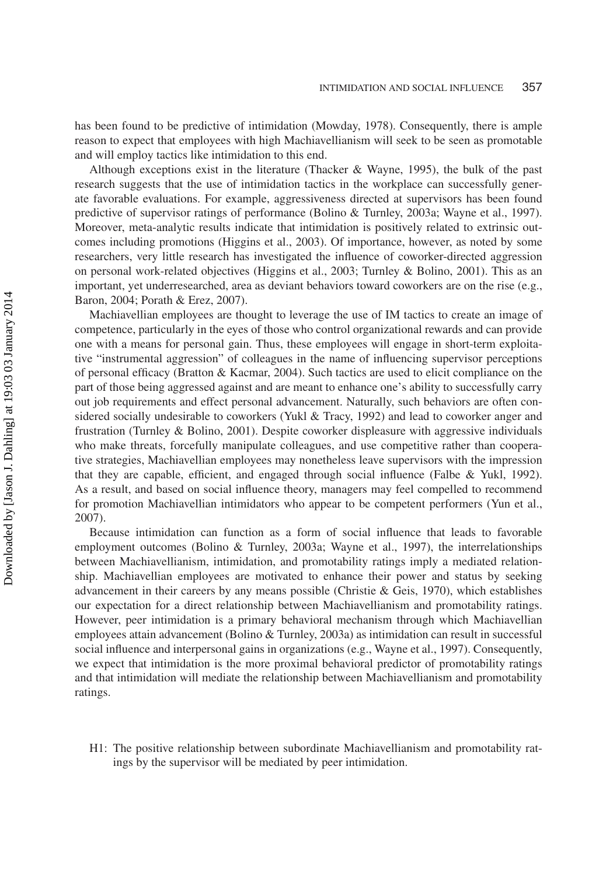has been found to be predictive of intimidation (Mowday, 1978). Consequently, there is ample reason to expect that employees with high Machiavellianism will seek to be seen as promotable and will employ tactics like intimidation to this end.

Although exceptions exist in the literature (Thacker & Wayne, 1995), the bulk of the past research suggests that the use of intimidation tactics in the workplace can successfully generate favorable evaluations. For example, aggressiveness directed at supervisors has been found predictive of supervisor ratings of performance (Bolino & Turnley, 2003a; Wayne et al., 1997). Moreover, meta-analytic results indicate that intimidation is positively related to extrinsic outcomes including promotions (Higgins et al., 2003). Of importance, however, as noted by some researchers, very little research has investigated the influence of coworker-directed aggression on personal work-related objectives (Higgins et al., 2003; Turnley & Bolino, 2001). This as an important, yet underresearched, area as deviant behaviors toward coworkers are on the rise (e.g., Baron, 2004; Porath & Erez, 2007).

Machiavellian employees are thought to leverage the use of IM tactics to create an image of competence, particularly in the eyes of those who control organizational rewards and can provide one with a means for personal gain. Thus, these employees will engage in short-term exploitative "instrumental aggression" of colleagues in the name of influencing supervisor perceptions of personal efficacy (Bratton & Kacmar, 2004). Such tactics are used to elicit compliance on the part of those being aggressed against and are meant to enhance one's ability to successfully carry out job requirements and effect personal advancement. Naturally, such behaviors are often considered socially undesirable to coworkers (Yukl & Tracy, 1992) and lead to coworker anger and frustration (Turnley & Bolino, 2001). Despite coworker displeasure with aggressive individuals who make threats, forcefully manipulate colleagues, and use competitive rather than cooperative strategies, Machiavellian employees may nonetheless leave supervisors with the impression that they are capable, efficient, and engaged through social influence (Falbe & Yukl, 1992). As a result, and based on social influence theory, managers may feel compelled to recommend for promotion Machiavellian intimidators who appear to be competent performers (Yun et al., 2007).

Because intimidation can function as a form of social influence that leads to favorable employment outcomes (Bolino & Turnley, 2003a; Wayne et al., 1997), the interrelationships between Machiavellianism, intimidation, and promotability ratings imply a mediated relationship. Machiavellian employees are motivated to enhance their power and status by seeking advancement in their careers by any means possible (Christie  $\&$  Geis, 1970), which establishes our expectation for a direct relationship between Machiavellianism and promotability ratings. However, peer intimidation is a primary behavioral mechanism through which Machiavellian employees attain advancement (Bolino  $&$  Turnley, 2003a) as intimidation can result in successful social influence and interpersonal gains in organizations (e.g., Wayne et al., 1997). Consequently, we expect that intimidation is the more proximal behavioral predictor of promotability ratings and that intimidation will mediate the relationship between Machiavellianism and promotability ratings.

H1: The positive relationship between subordinate Machiavellianism and promotability ratings by the supervisor will be mediated by peer intimidation.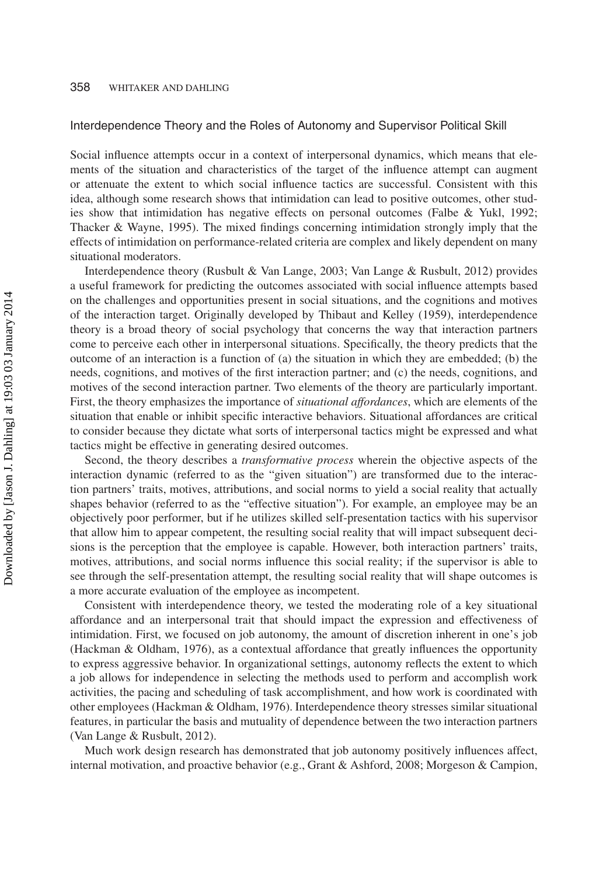## Interdependence Theory and the Roles of Autonomy and Supervisor Political Skill

Social influence attempts occur in a context of interpersonal dynamics, which means that elements of the situation and characteristics of the target of the influence attempt can augment or attenuate the extent to which social influence tactics are successful. Consistent with this idea, although some research shows that intimidation can lead to positive outcomes, other studies show that intimidation has negative effects on personal outcomes (Falbe & Yukl, 1992; Thacker & Wayne, 1995). The mixed findings concerning intimidation strongly imply that the effects of intimidation on performance-related criteria are complex and likely dependent on many situational moderators.

Interdependence theory (Rusbult & Van Lange, 2003; Van Lange & Rusbult, 2012) provides a useful framework for predicting the outcomes associated with social influence attempts based on the challenges and opportunities present in social situations, and the cognitions and motives of the interaction target. Originally developed by Thibaut and Kelley (1959), interdependence theory is a broad theory of social psychology that concerns the way that interaction partners come to perceive each other in interpersonal situations. Specifically, the theory predicts that the outcome of an interaction is a function of (a) the situation in which they are embedded; (b) the needs, cognitions, and motives of the first interaction partner; and (c) the needs, cognitions, and motives of the second interaction partner. Two elements of the theory are particularly important. First, the theory emphasizes the importance of *situational affordances*, which are elements of the situation that enable or inhibit specific interactive behaviors. Situational affordances are critical to consider because they dictate what sorts of interpersonal tactics might be expressed and what tactics might be effective in generating desired outcomes.

Second, the theory describes a *transformative process* wherein the objective aspects of the interaction dynamic (referred to as the "given situation") are transformed due to the interaction partners' traits, motives, attributions, and social norms to yield a social reality that actually shapes behavior (referred to as the "effective situation"). For example, an employee may be an objectively poor performer, but if he utilizes skilled self-presentation tactics with his supervisor that allow him to appear competent, the resulting social reality that will impact subsequent decisions is the perception that the employee is capable. However, both interaction partners' traits, motives, attributions, and social norms influence this social reality; if the supervisor is able to see through the self-presentation attempt, the resulting social reality that will shape outcomes is a more accurate evaluation of the employee as incompetent.

Consistent with interdependence theory, we tested the moderating role of a key situational affordance and an interpersonal trait that should impact the expression and effectiveness of intimidation. First, we focused on job autonomy, the amount of discretion inherent in one's job (Hackman & Oldham, 1976), as a contextual affordance that greatly influences the opportunity to express aggressive behavior. In organizational settings, autonomy reflects the extent to which a job allows for independence in selecting the methods used to perform and accomplish work activities, the pacing and scheduling of task accomplishment, and how work is coordinated with other employees (Hackman & Oldham, 1976). Interdependence theory stresses similar situational features, in particular the basis and mutuality of dependence between the two interaction partners (Van Lange & Rusbult, 2012).

Much work design research has demonstrated that job autonomy positively influences affect, internal motivation, and proactive behavior (e.g., Grant & Ashford, 2008; Morgeson & Campion,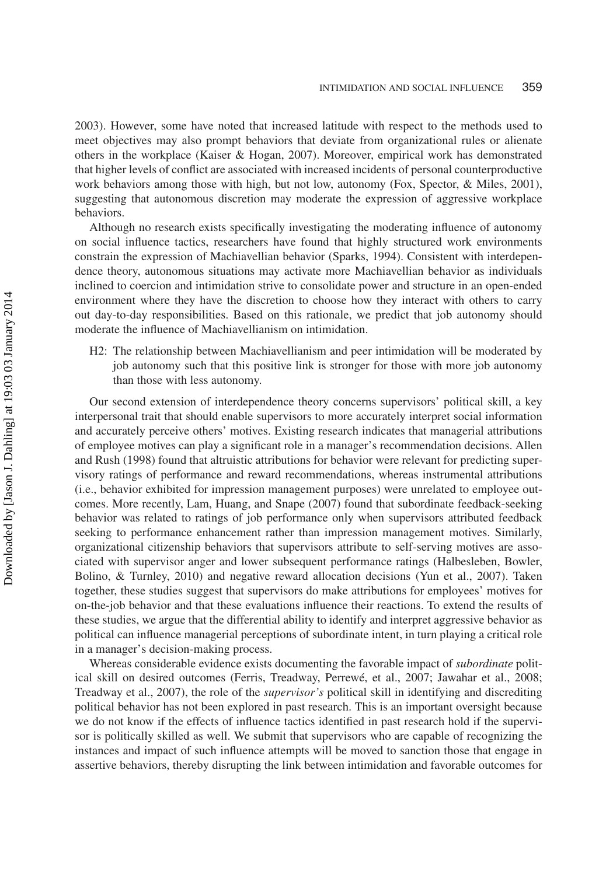2003). However, some have noted that increased latitude with respect to the methods used to meet objectives may also prompt behaviors that deviate from organizational rules or alienate others in the workplace (Kaiser & Hogan, 2007). Moreover, empirical work has demonstrated that higher levels of conflict are associated with increased incidents of personal counterproductive work behaviors among those with high, but not low, autonomy (Fox, Spector, & Miles, 2001), suggesting that autonomous discretion may moderate the expression of aggressive workplace behaviors.

Although no research exists specifically investigating the moderating influence of autonomy on social influence tactics, researchers have found that highly structured work environments constrain the expression of Machiavellian behavior (Sparks, 1994). Consistent with interdependence theory, autonomous situations may activate more Machiavellian behavior as individuals inclined to coercion and intimidation strive to consolidate power and structure in an open-ended environment where they have the discretion to choose how they interact with others to carry out day-to-day responsibilities. Based on this rationale, we predict that job autonomy should moderate the influence of Machiavellianism on intimidation.

H2: The relationship between Machiavellianism and peer intimidation will be moderated by job autonomy such that this positive link is stronger for those with more job autonomy than those with less autonomy.

Our second extension of interdependence theory concerns supervisors' political skill, a key interpersonal trait that should enable supervisors to more accurately interpret social information and accurately perceive others' motives. Existing research indicates that managerial attributions of employee motives can play a significant role in a manager's recommendation decisions. Allen and Rush (1998) found that altruistic attributions for behavior were relevant for predicting supervisory ratings of performance and reward recommendations, whereas instrumental attributions (i.e., behavior exhibited for impression management purposes) were unrelated to employee outcomes. More recently, Lam, Huang, and Snape (2007) found that subordinate feedback-seeking behavior was related to ratings of job performance only when supervisors attributed feedback seeking to performance enhancement rather than impression management motives. Similarly, organizational citizenship behaviors that supervisors attribute to self-serving motives are associated with supervisor anger and lower subsequent performance ratings (Halbesleben, Bowler, Bolino, & Turnley, 2010) and negative reward allocation decisions (Yun et al., 2007). Taken together, these studies suggest that supervisors do make attributions for employees' motives for on-the-job behavior and that these evaluations influence their reactions. To extend the results of these studies, we argue that the differential ability to identify and interpret aggressive behavior as political can influence managerial perceptions of subordinate intent, in turn playing a critical role in a manager's decision-making process.

Whereas considerable evidence exists documenting the favorable impact of *subordinate* political skill on desired outcomes (Ferris, Treadway, Perrewé, et al., 2007; Jawahar et al., 2008; Treadway et al., 2007), the role of the *supervisor's* political skill in identifying and discrediting political behavior has not been explored in past research. This is an important oversight because we do not know if the effects of influence tactics identified in past research hold if the supervisor is politically skilled as well. We submit that supervisors who are capable of recognizing the instances and impact of such influence attempts will be moved to sanction those that engage in assertive behaviors, thereby disrupting the link between intimidation and favorable outcomes for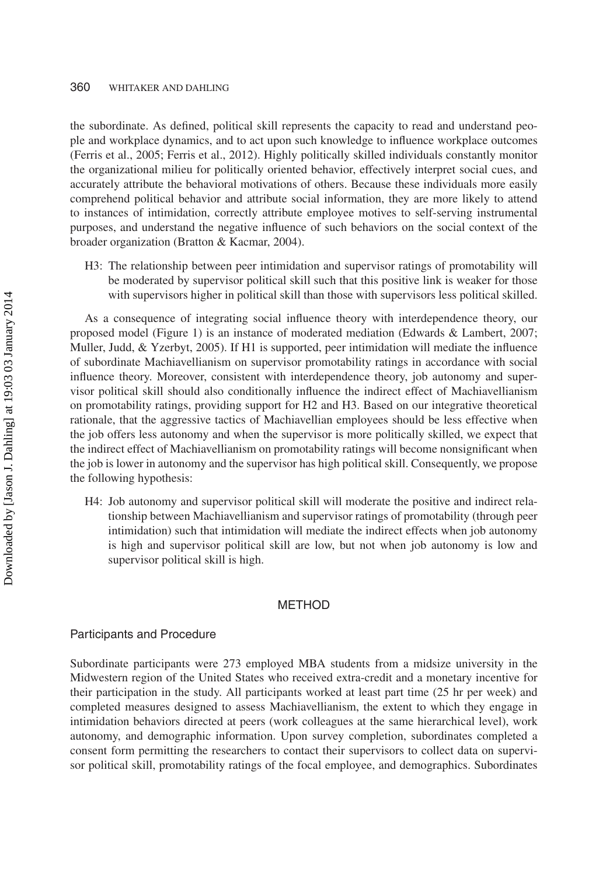the subordinate. As defined, political skill represents the capacity to read and understand people and workplace dynamics, and to act upon such knowledge to influence workplace outcomes (Ferris et al., 2005; Ferris et al., 2012). Highly politically skilled individuals constantly monitor the organizational milieu for politically oriented behavior, effectively interpret social cues, and accurately attribute the behavioral motivations of others. Because these individuals more easily comprehend political behavior and attribute social information, they are more likely to attend to instances of intimidation, correctly attribute employee motives to self-serving instrumental purposes, and understand the negative influence of such behaviors on the social context of the broader organization (Bratton & Kacmar, 2004).

H3: The relationship between peer intimidation and supervisor ratings of promotability will be moderated by supervisor political skill such that this positive link is weaker for those with supervisors higher in political skill than those with supervisors less political skilled.

As a consequence of integrating social influence theory with interdependence theory, our proposed model (Figure 1) is an instance of moderated mediation (Edwards & Lambert, 2007; Muller, Judd, & Yzerbyt, 2005). If H1 is supported, peer intimidation will mediate the influence of subordinate Machiavellianism on supervisor promotability ratings in accordance with social influence theory. Moreover, consistent with interdependence theory, job autonomy and supervisor political skill should also conditionally influence the indirect effect of Machiavellianism on promotability ratings, providing support for H2 and H3. Based on our integrative theoretical rationale, that the aggressive tactics of Machiavellian employees should be less effective when the job offers less autonomy and when the supervisor is more politically skilled, we expect that the indirect effect of Machiavellianism on promotability ratings will become nonsignificant when the job is lower in autonomy and the supervisor has high political skill. Consequently, we propose the following hypothesis:

H4: Job autonomy and supervisor political skill will moderate the positive and indirect relationship between Machiavellianism and supervisor ratings of promotability (through peer intimidation) such that intimidation will mediate the indirect effects when job autonomy is high and supervisor political skill are low, but not when job autonomy is low and supervisor political skill is high.

# **METHOD**

## Participants and Procedure

Subordinate participants were 273 employed MBA students from a midsize university in the Midwestern region of the United States who received extra-credit and a monetary incentive for their participation in the study. All participants worked at least part time (25 hr per week) and completed measures designed to assess Machiavellianism, the extent to which they engage in intimidation behaviors directed at peers (work colleagues at the same hierarchical level), work autonomy, and demographic information. Upon survey completion, subordinates completed a consent form permitting the researchers to contact their supervisors to collect data on supervisor political skill, promotability ratings of the focal employee, and demographics. Subordinates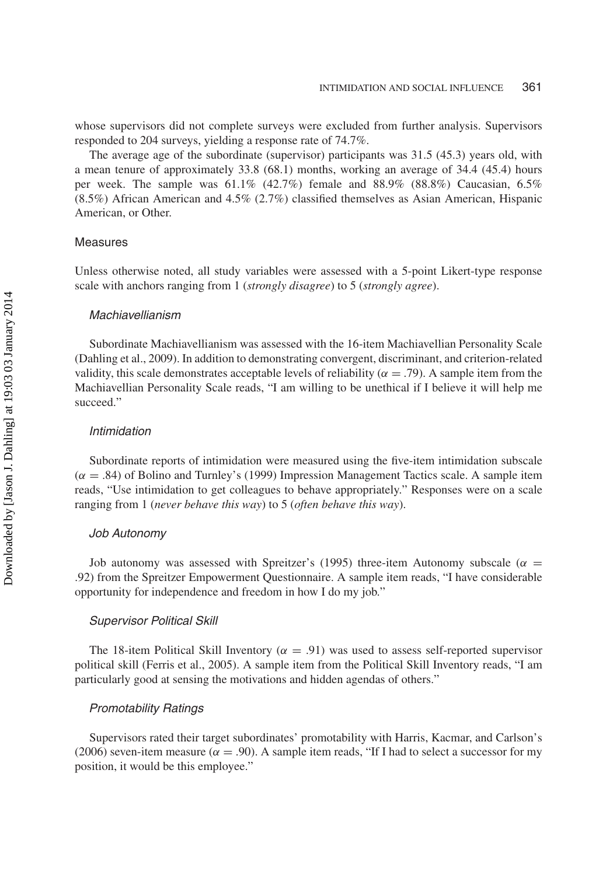whose supervisors did not complete surveys were excluded from further analysis. Supervisors responded to 204 surveys, yielding a response rate of 74.7%.

The average age of the subordinate (supervisor) participants was 31.5 (45.3) years old, with a mean tenure of approximately 33.8 (68.1) months, working an average of 34.4 (45.4) hours per week. The sample was 61.1% (42.7%) female and 88.9% (88.8%) Caucasian, 6.5% (8.5%) African American and 4.5% (2.7%) classified themselves as Asian American, Hispanic American, or Other.

## Measures

Unless otherwise noted, all study variables were assessed with a 5-point Likert-type response scale with anchors ranging from 1 (*strongly disagree*) to 5 (*strongly agree*).

#### *Machiavellianism*

Subordinate Machiavellianism was assessed with the 16-item Machiavellian Personality Scale (Dahling et al., 2009). In addition to demonstrating convergent, discriminant, and criterion-related validity, this scale demonstrates acceptable levels of reliability ( $\alpha = .79$ ). A sample item from the Machiavellian Personality Scale reads, "I am willing to be unethical if I believe it will help me succeed."

#### *Intimidation*

Subordinate reports of intimidation were measured using the five-item intimidation subscale  $(\alpha = .84)$  of Bolino and Turnley's (1999) Impression Management Tactics scale. A sample item reads, "Use intimidation to get colleagues to behave appropriately." Responses were on a scale ranging from 1 (*never behave this way*) to 5 (*often behave this way*).

#### *Job Autonomy*

Job autonomy was assessed with Spreitzer's (1995) three-item Autonomy subscale ( $\alpha$  = .92) from the Spreitzer Empowerment Questionnaire. A sample item reads, "I have considerable opportunity for independence and freedom in how I do my job."

## *Supervisor Political Skill*

The 18-item Political Skill Inventory ( $\alpha = .91$ ) was used to assess self-reported supervisor political skill (Ferris et al., 2005). A sample item from the Political Skill Inventory reads, "I am particularly good at sensing the motivations and hidden agendas of others."

## *Promotability Ratings*

Supervisors rated their target subordinates' promotability with Harris, Kacmar, and Carlson's (2006) seven-item measure ( $\alpha = .90$ ). A sample item reads, "If I had to select a successor for my position, it would be this employee."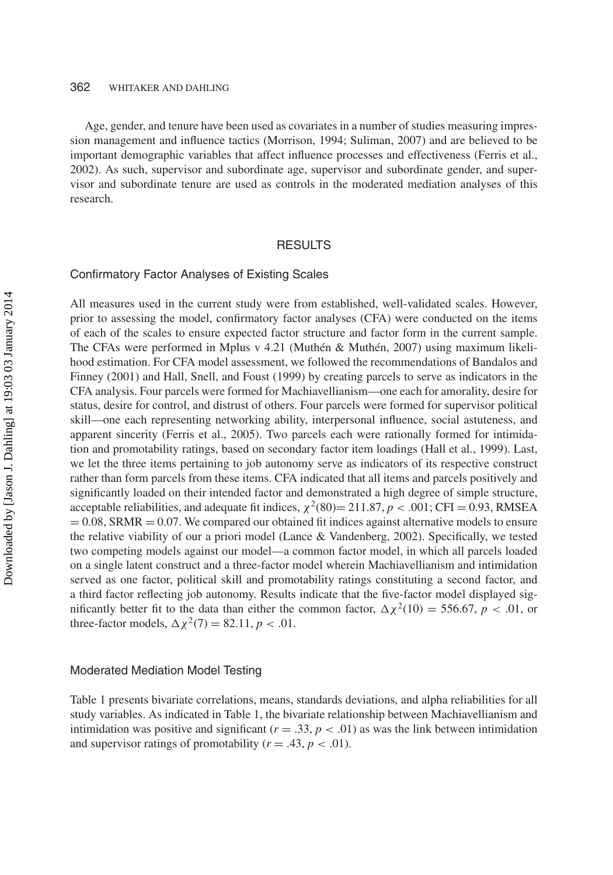Age, gender, and tenure have been used as covariates in a number of studies measuring impression management and influence tactics (Morrison, 1994; Suliman, 2007) and are believed to be important demographic variables that affect influence processes and effectiveness (Ferris et al., 2002). As such, supervisor and subordinate age, supervisor and subordinate gender, and supervisor and subordinate tenure are used as controls in the moderated mediation analyses of this research.

## RESULTS

## Confirmatory Factor Analyses of Existing Scales

All measures used in the current study were from established, well-validated scales. However, prior to assessing the model, confirmatory factor analyses (CFA) were conducted on the items of each of the scales to ensure expected factor structure and factor form in the current sample. The CFAs were performed in Mplus v 4.21 (Muthén & Muthén, 2007) using maximum likelihood estimation. For CFA model assessment, we followed the recommendations of Bandalos and Finney (2001) and Hall, Snell, and Foust (1999) by creating parcels to serve as indicators in the CFA analysis. Four parcels were formed for Machiavellianism—one each for amorality, desire for status, desire for control, and distrust of others. Four parcels were formed for supervisor political skill—one each representing networking ability, interpersonal influence, social astuteness, and apparent sincerity (Ferris et al., 2005). Two parcels each were rationally formed for intimidation and promotability ratings, based on secondary factor item loadings (Hall et al., 1999). Last, we let the three items pertaining to job autonomy serve as indicators of its respective construct rather than form parcels from these items. CFA indicated that all items and parcels positively and significantly loaded on their intended factor and demonstrated a high degree of simple structure, acceptable reliabilities, and adequate fit indices,  $\chi^2(80) = 211.87$ ,  $p < .001$ ; CFI = 0.93, RMSEA  $= 0.08$ , SRMR  $= 0.07$ . We compared our obtained fit indices against alternative models to ensure the relative viability of our a priori model (Lance & Vandenberg, 2002). Specifically, we tested two competing models against our model—a common factor model, in which all parcels loaded on a single latent construct and a three-factor model wherein Machiavellianism and intimidation served as one factor, political skill and promotability ratings constituting a second factor, and a third factor reflecting job autonomy. Results indicate that the five-factor model displayed significantly better fit to the data than either the common factor,  $\Delta \chi^2(10) = 556.67$ , *p* < .01, or three-factor models,  $\Delta \chi^2(7) = 82.11, p < .01$ .

#### Moderated Mediation Model Testing

Table 1 presents bivariate correlations, means, standards deviations, and alpha reliabilities for all study variables. As indicated in Table 1, the bivariate relationship between Machiavellianism and intimidation was positive and significant  $(r = .33, p < .01)$  as was the link between intimidation and supervisor ratings of promotability ( $r = .43$ ,  $p < .01$ ).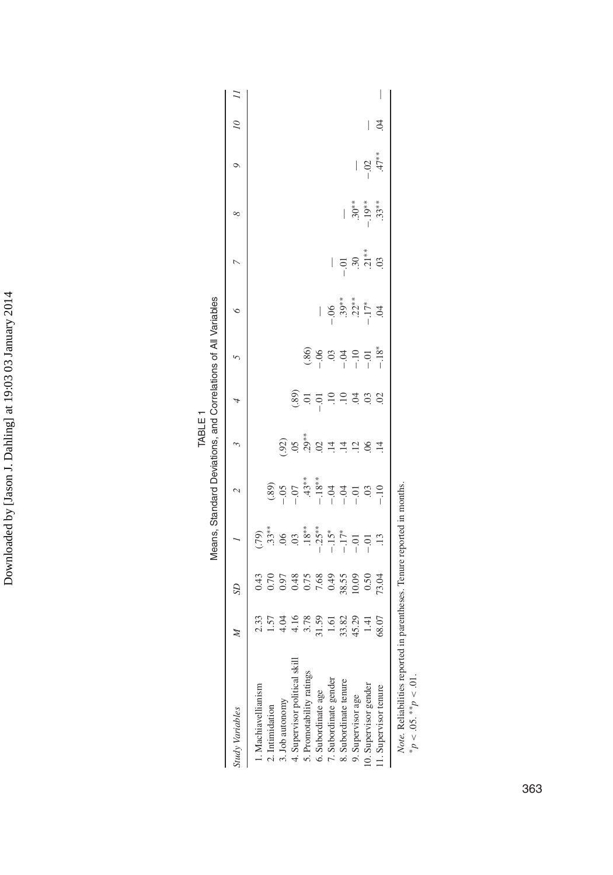| <b>Study Variables</b>                                                                                  | S <sub>D</sub> |                                                                                                                                                                                                                                                                                                                                                                                                                                                                                                                                                                                                                  | $\sim$                                                                                                                                                                             | $\mathfrak{z}$                                                                                                                                                                                                                                                                                                                                                                      | $\overline{\mathcal{A}}$ | $\overline{z}$                                                                                                                                                                                                                                                                                                                                       | $\circ$                                                                                                                                                                                                                                    | $^{\circ}$                    | $\circ$                         | $\overline{\mathcal{L}}$              |  |
|---------------------------------------------------------------------------------------------------------|----------------|------------------------------------------------------------------------------------------------------------------------------------------------------------------------------------------------------------------------------------------------------------------------------------------------------------------------------------------------------------------------------------------------------------------------------------------------------------------------------------------------------------------------------------------------------------------------------------------------------------------|------------------------------------------------------------------------------------------------------------------------------------------------------------------------------------|-------------------------------------------------------------------------------------------------------------------------------------------------------------------------------------------------------------------------------------------------------------------------------------------------------------------------------------------------------------------------------------|--------------------------|------------------------------------------------------------------------------------------------------------------------------------------------------------------------------------------------------------------------------------------------------------------------------------------------------------------------------------------------------|--------------------------------------------------------------------------------------------------------------------------------------------------------------------------------------------------------------------------------------------|-------------------------------|---------------------------------|---------------------------------------|--|
| I. Machiavellianism                                                                                     |                |                                                                                                                                                                                                                                                                                                                                                                                                                                                                                                                                                                                                                  |                                                                                                                                                                                    |                                                                                                                                                                                                                                                                                                                                                                                     |                          |                                                                                                                                                                                                                                                                                                                                                      |                                                                                                                                                                                                                                            |                               |                                 |                                       |  |
| 2. Intimidation                                                                                         |                |                                                                                                                                                                                                                                                                                                                                                                                                                                                                                                                                                                                                                  |                                                                                                                                                                                    |                                                                                                                                                                                                                                                                                                                                                                                     |                          |                                                                                                                                                                                                                                                                                                                                                      |                                                                                                                                                                                                                                            |                               |                                 |                                       |  |
| 3. Job autonomy                                                                                         |                | $\begin{array}{c} \left( \overline{2}, \overline{3}, \overline{4} \right) \overset{\ast}{\leftrightarrow} \left( \overline{3}, \overline{4} \right) \overset{\ast}{\leftrightarrow} \left( \overline{3}, \overline{4} \right) \overset{\ast}{\leftrightarrow} \left( \overline{3}, \overline{4} \right) \overset{\ast}{\leftrightarrow} \left( \overline{3}, \overline{4} \right) \overset{\ast}{\leftrightarrow} \left( \overline{3}, \overline{4} \right) \overset{\ast}{\leftrightarrow} \left( \overline{3}, \overline{4} \right) \overset{\ast}{\leftrightarrow} \left( \overline{3}, \overline{4} \right)$ | $(3, 8)$<br>$-0.5$<br>$-0.5$<br>$-0.5$<br>$-0.5$<br>$-0.5$<br>$-0.5$<br>$-0.5$<br>$-0.5$<br>$-0.5$<br>$-0.5$<br>$-0.5$<br>$-0.5$<br>$-0.5$<br>$-0.5$<br>$-0.5$<br>$-0.5$<br>$-0.5$ |                                                                                                                                                                                                                                                                                                                                                                                     |                          |                                                                                                                                                                                                                                                                                                                                                      |                                                                                                                                                                                                                                            |                               |                                 |                                       |  |
| 4. Supervisor political skill                                                                           |                |                                                                                                                                                                                                                                                                                                                                                                                                                                                                                                                                                                                                                  |                                                                                                                                                                                    |                                                                                                                                                                                                                                                                                                                                                                                     |                          |                                                                                                                                                                                                                                                                                                                                                      |                                                                                                                                                                                                                                            |                               |                                 |                                       |  |
| 5. Promotability ratings                                                                                |                |                                                                                                                                                                                                                                                                                                                                                                                                                                                                                                                                                                                                                  |                                                                                                                                                                                    | $\overset{\circ}{\mathcal{O}}$ $\overset{\circ}{\mathcal{O}}$ $\overset{\circ}{\mathcal{O}}$ $\overset{\circ}{\mathcal{O}}$ $\overset{\circ}{\mathcal{O}}$ $\overset{\circ}{\mathcal{O}}$ $\overset{\circ}{\mathcal{O}}$ $\overset{\circ}{\mathcal{O}}$ $\overset{\circ}{\mathcal{O}}$ $\overset{\circ}{\mathcal{O}}$ $\overset{\circ}{\mathcal{O}}$ $\overset{\circ}{\mathcal{O}}$ | (30, 50, 50)             |                                                                                                                                                                                                                                                                                                                                                      |                                                                                                                                                                                                                                            |                               |                                 |                                       |  |
| 6. Subordinate age                                                                                      |                |                                                                                                                                                                                                                                                                                                                                                                                                                                                                                                                                                                                                                  |                                                                                                                                                                                    |                                                                                                                                                                                                                                                                                                                                                                                     |                          | $\frac{1}{2}$<br>$\frac{1}{2}$<br>$\frac{1}{2}$<br>$\frac{1}{2}$<br>$\frac{1}{2}$<br>$\frac{1}{2}$<br>$\frac{1}{2}$<br>$\frac{1}{2}$<br>$\frac{1}{2}$<br>$\frac{1}{2}$<br>$\frac{1}{2}$<br>$\frac{1}{2}$<br>$\frac{1}{2}$<br>$\frac{1}{2}$<br>$\frac{1}{2}$<br>$\frac{1}{2}$<br>$\frac{1}{2}$<br>$\frac{1}{2}$<br>$\frac{1}{2}$<br>$\frac{1}{2}$<br> |                                                                                                                                                                                                                                            |                               |                                 |                                       |  |
| 7. Subordinate gender                                                                                   |                |                                                                                                                                                                                                                                                                                                                                                                                                                                                                                                                                                                                                                  |                                                                                                                                                                                    |                                                                                                                                                                                                                                                                                                                                                                                     |                          |                                                                                                                                                                                                                                                                                                                                                      |                                                                                                                                                                                                                                            |                               |                                 |                                       |  |
| 8. Subordinate tenure                                                                                   |                |                                                                                                                                                                                                                                                                                                                                                                                                                                                                                                                                                                                                                  |                                                                                                                                                                                    |                                                                                                                                                                                                                                                                                                                                                                                     |                          |                                                                                                                                                                                                                                                                                                                                                      | $\frac{3}{3}$<br>$\frac{3}{2}$<br>$\frac{3}{2}$<br>$\frac{3}{2}$<br>$\frac{3}{2}$<br>$\frac{3}{2}$<br>$\frac{3}{2}$<br>$\frac{3}{2}$<br>$\frac{3}{2}$<br>$\frac{3}{2}$<br>$\frac{3}{2}$<br>$\frac{3}{2}$<br>$\frac{3}{2}$<br>$\frac{3}{2}$ |                               |                                 |                                       |  |
| 9. Supervisor age                                                                                       |                |                                                                                                                                                                                                                                                                                                                                                                                                                                                                                                                                                                                                                  |                                                                                                                                                                                    |                                                                                                                                                                                                                                                                                                                                                                                     |                          |                                                                                                                                                                                                                                                                                                                                                      |                                                                                                                                                                                                                                            | $-30**$<br>$-19**$<br>$-33**$ |                                 |                                       |  |
| 10. Supervisor gender                                                                                   |                |                                                                                                                                                                                                                                                                                                                                                                                                                                                                                                                                                                                                                  |                                                                                                                                                                                    |                                                                                                                                                                                                                                                                                                                                                                                     |                          |                                                                                                                                                                                                                                                                                                                                                      |                                                                                                                                                                                                                                            |                               | $\frac{1}{2}$<br>$\frac{3}{47}$ | $\begin{array}{c} \hline \end{array}$ |  |
| 11. Supervisor tenure                                                                                   |                |                                                                                                                                                                                                                                                                                                                                                                                                                                                                                                                                                                                                                  |                                                                                                                                                                                    |                                                                                                                                                                                                                                                                                                                                                                                     |                          |                                                                                                                                                                                                                                                                                                                                                      |                                                                                                                                                                                                                                            |                               |                                 | $\beta$                               |  |
| Note. Reliabilities reported in parentheses. Tenure reported in months.<br>$p < 0.05$ , ** $p < 0.01$ . |                |                                                                                                                                                                                                                                                                                                                                                                                                                                                                                                                                                                                                                  |                                                                                                                                                                                    |                                                                                                                                                                                                                                                                                                                                                                                     |                          |                                                                                                                                                                                                                                                                                                                                                      |                                                                                                                                                                                                                                            |                               |                                 |                                       |  |

TABLE 1<br>Means, Standard Deviations, and Correlations of All Variables Means, Standard Deviations, and Correlations of All Variables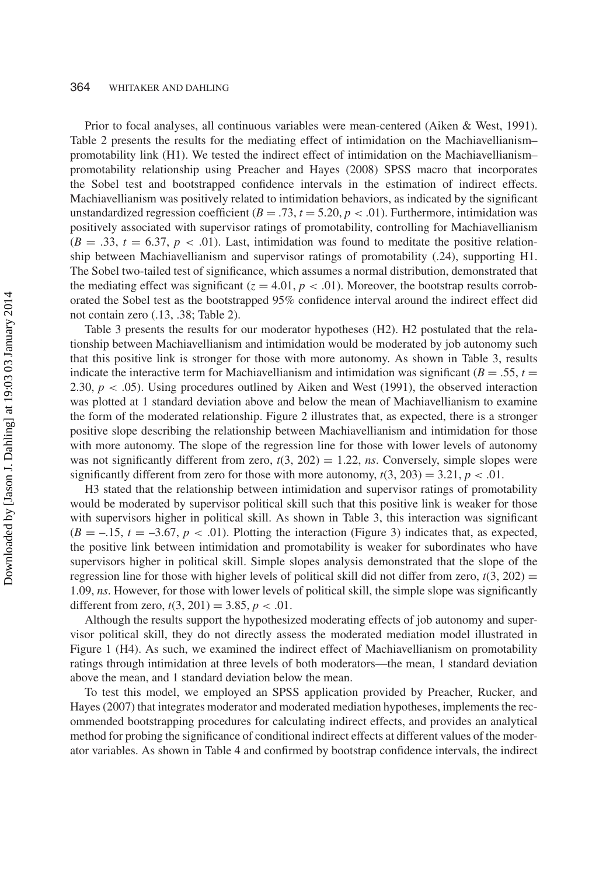Prior to focal analyses, all continuous variables were mean-centered (Aiken & West, 1991). Table 2 presents the results for the mediating effect of intimidation on the Machiavellianism– promotability link (H1). We tested the indirect effect of intimidation on the Machiavellianism– promotability relationship using Preacher and Hayes (2008) SPSS macro that incorporates the Sobel test and bootstrapped confidence intervals in the estimation of indirect effects. Machiavellianism was positively related to intimidation behaviors, as indicated by the significant unstandardized regression coefficient  $(B = .73, t = 5.20, p < .01)$ . Furthermore, intimidation was positively associated with supervisor ratings of promotability, controlling for Machiavellianism  $(B = .33, t = 6.37, p < .01)$ . Last, intimidation was found to meditate the positive relationship between Machiavellianism and supervisor ratings of promotability (.24), supporting H1. The Sobel two-tailed test of significance, which assumes a normal distribution, demonstrated that the mediating effect was significant ( $z = 4.01$ ,  $p < .01$ ). Moreover, the bootstrap results corroborated the Sobel test as the bootstrapped 95% confidence interval around the indirect effect did not contain zero (.13, .38; Table 2).

Table 3 presents the results for our moderator hypotheses (H2). H2 postulated that the relationship between Machiavellianism and intimidation would be moderated by job autonomy such that this positive link is stronger for those with more autonomy. As shown in Table 3, results indicate the interactive term for Machiavellianism and intimidation was significant ( $B = .55$ ,  $t =$ 2.30,  $p < .05$ ). Using procedures outlined by Aiken and West (1991), the observed interaction was plotted at 1 standard deviation above and below the mean of Machiavellianism to examine the form of the moderated relationship. Figure 2 illustrates that, as expected, there is a stronger positive slope describing the relationship between Machiavellianism and intimidation for those with more autonomy. The slope of the regression line for those with lower levels of autonomy was not significantly different from zero,  $t(3, 202) = 1.22$ , *ns*. Conversely, simple slopes were significantly different from zero for those with more autonomy,  $t(3, 203) = 3.21$ ,  $p < .01$ .

H3 stated that the relationship between intimidation and supervisor ratings of promotability would be moderated by supervisor political skill such that this positive link is weaker for those with supervisors higher in political skill. As shown in Table 3, this interaction was significant  $(B = -.15, t = -.3.67, p < .01)$ . Plotting the interaction (Figure 3) indicates that, as expected, the positive link between intimidation and promotability is weaker for subordinates who have supervisors higher in political skill. Simple slopes analysis demonstrated that the slope of the regression line for those with higher levels of political skill did not differ from zero,  $t(3, 202) =$ 1.09, *ns*. However, for those with lower levels of political skill, the simple slope was significantly different from zero,  $t(3, 201) = 3.85$ ,  $p < .01$ .

Although the results support the hypothesized moderating effects of job autonomy and supervisor political skill, they do not directly assess the moderated mediation model illustrated in Figure 1 (H4). As such, we examined the indirect effect of Machiavellianism on promotability ratings through intimidation at three levels of both moderators—the mean, 1 standard deviation above the mean, and 1 standard deviation below the mean.

To test this model, we employed an SPSS application provided by Preacher, Rucker, and Hayes (2007) that integrates moderator and moderated mediation hypotheses, implements the recommended bootstrapping procedures for calculating indirect effects, and provides an analytical method for probing the significance of conditional indirect effects at different values of the moderator variables. As shown in Table 4 and confirmed by bootstrap confidence intervals, the indirect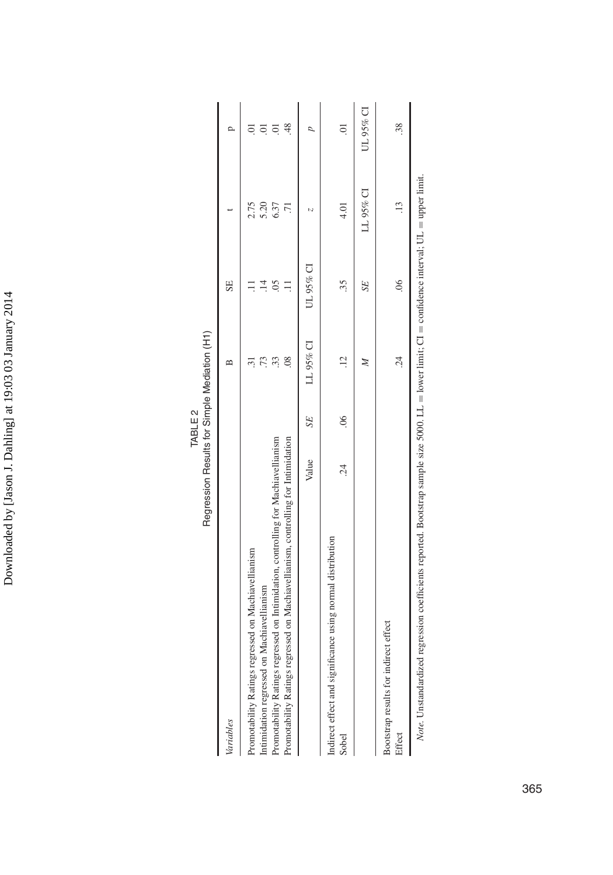| ہ<br>بہ<br>֚֕<br>Ì<br>Ï<br>;<br>1<br>١<br>¢<br>ו<br>י<br>l<br>I<br>١ |
|----------------------------------------------------------------------|
|                                                                      |
|                                                                      |
|                                                                      |
|                                                                      |
|                                                                      |
|                                                                      |
|                                                                      |
|                                                                      |
| ļ                                                                    |

|                                                                                                                                                                        |            |                          | Regression Results for Simple Mediation (H1) |                |              |                      |
|------------------------------------------------------------------------------------------------------------------------------------------------------------------------|------------|--------------------------|----------------------------------------------|----------------|--------------|----------------------|
| Variables                                                                                                                                                              |            |                          | ≏                                            | SE             |              |                      |
| Promotability Ratings regressed on Machiavellianism<br>Intimidation regressed on Machiavellianism                                                                      |            |                          | .73                                          | $\vec{=}$      | 2.75<br>5.20 | $\overline{0}$       |
| Promotability Ratings regressed on Machiavellianism, controlling for Intimidation<br>Promotability Ratings regressed on Intimidation, controlling for Machiavellianism |            |                          | $\overline{08}$<br>33                        | $\overline{5}$ | 6.37         | 48<br>$\overline{0}$ |
|                                                                                                                                                                        | Value      | SE <sub></sub>           | LL 95% CI                                    | UL 95% CI      |              | ⊵                    |
| Indirect effect and significance using normal distribution<br>Sobel                                                                                                    | $\ddot{5}$ | $\widetilde{\mathrm{6}}$ | $\overline{12}$                              | 35             | 4.01         | $\Xi$                |
|                                                                                                                                                                        |            |                          | $\geq$                                       | SE             | LL 95% CI    | UL 95% CI            |
| Bootstrap results for indirect effect<br>Effect                                                                                                                        |            |                          | $\ddot{c}$                                   | $\overline{0}$ | $\ddot{13}$  | 38.                  |
| Note. Unstandardized regression coefficients reported. Bootstrap sample size 5000. LL = lower limit; CI = confidence interval; UL = upper limit                        |            |                          |                                              |                |              |                      |

| <br> <br> <br>.<br>.<br>.<br>. | J<br>$\circ$<br>ļ | J<br>$\frac{1}{\sqrt{2}}$ |
|--------------------------------|-------------------|---------------------------|
|                                | TARIE             |                           |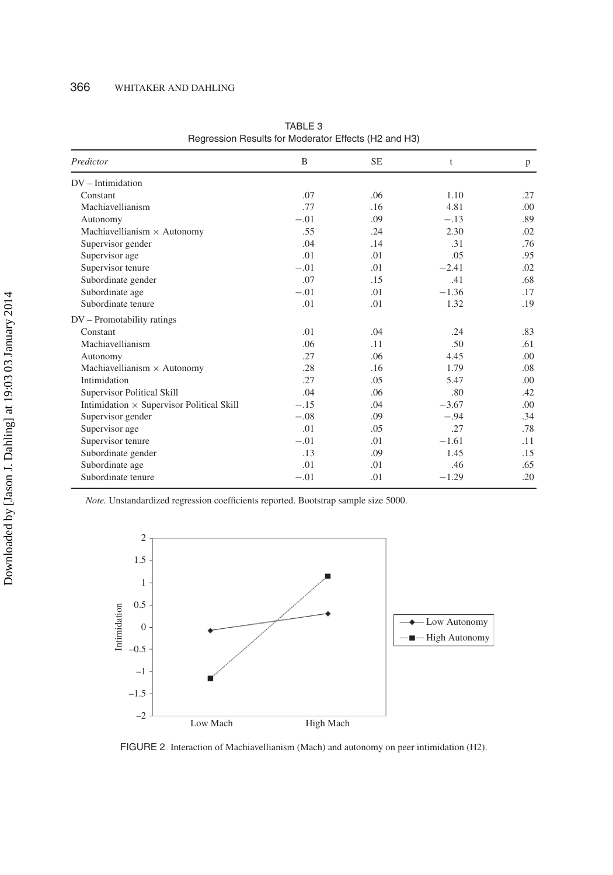| Predictor                                        | B      | <b>SE</b> | t       | p    |
|--------------------------------------------------|--------|-----------|---------|------|
| $DV$ – Intimidation                              |        |           |         |      |
| Constant                                         | .07    | .06       | 1.10    | .27  |
| Machiavellianism                                 | .77    | .16       | 4.81    | .00. |
| Autonomy                                         | $-.01$ | .09       | $-.13$  | .89  |
| Machiavellianism $\times$ Autonomy               | .55    | .24       | 2.30    | .02  |
| Supervisor gender                                | .04    | .14       | .31     | .76  |
| Supervisor age                                   | .01    | .01       | .05     | .95  |
| Supervisor tenure                                | $-.01$ | .01       | $-2.41$ | .02  |
| Subordinate gender                               | .07    | .15       | .41     | .68  |
| Subordinate age                                  | $-.01$ | .01       | $-1.36$ | .17  |
| Subordinate tenure                               | .01    | .01       | 1.32    | .19  |
| DV – Promotability ratings                       |        |           |         |      |
| Constant                                         | .01    | .04       | .24     | .83  |
| Machiavellianism                                 | .06    | .11       | .50     | .61  |
| Autonomy                                         | .27    | .06       | 4.45    | .00  |
| Machiavellianism $\times$ Autonomy               | .28    | .16       | 1.79    | .08  |
| Intimidation                                     | .27    | .05       | 5.47    | .00  |
| Supervisor Political Skill                       | .04    | .06       | .80     | .42  |
| Intimidation $\times$ Supervisor Political Skill | $-.15$ | .04       | $-3.67$ | .00  |
| Supervisor gender                                | $-.08$ | .09       | $-.94$  | .34  |
| Supervisor age                                   | .01    | .05       | .27     | .78  |
| Supervisor tenure                                | $-.01$ | .01       | $-1.61$ | .11  |
| Subordinate gender                               | .13    | .09       | 1.45    | .15  |
| Subordinate age                                  | .01    | .01       | .46     | .65  |
| Subordinate tenure                               | $-.01$ | .01       | $-1.29$ | .20  |

TABLE 3 Regression Results for Moderator Effects (H2 and H3)

*Note.* Unstandardized regression coefficients reported. Bootstrap sample size 5000.



FIGURE 2 Interaction of Machiavellianism (Mach) and autonomy on peer intimidation (H2).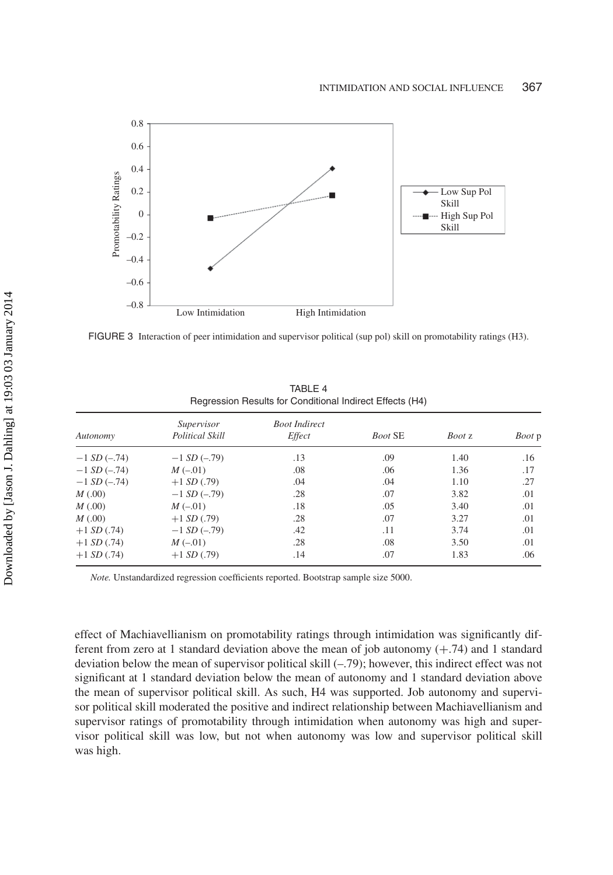

FIGURE 3 Interaction of peer intimidation and supervisor political (sup pol) skill on promotability ratings (H3).

| Autonomy         | Supervisor<br>Political Skill | <b>Boot Indirect</b><br>Effect | <b>Boot SE</b> | Boot z | <i>Boot</i> p |
|------------------|-------------------------------|--------------------------------|----------------|--------|---------------|
| $-1$ SD $(-.74)$ | $-1 SD (-.79)$                | .13                            | .09            | 1.40   | .16           |
| $-1$ SD $(-.74)$ | $M(-.01)$                     | .08                            | .06            | 1.36   | .17           |
| $-1$ SD $(-.74)$ | $+1 SD(.79)$                  | .04                            | .04            | 1.10   | .27           |
| M(.00)           | $-1$ SD $(-.79)$              | .28                            | .07            | 3.82   | .01           |
| M(.00)           | $M(-.01)$                     | .18                            | .05            | 3.40   | .01           |
| M(.00)           | $+1 SD(.79)$                  | .28                            | .07            | 3.27   | .01           |
| $+1 SD(.74)$     | $-1$ SD $(-.79)$              | .42                            | .11            | 3.74   | .01           |
| $+1$ SD (.74)    | $M(-.01)$                     | .28                            | .08            | 3.50   | .01           |
| $+1$ SD (.74)    | $+1 SD(.79)$                  | .14                            | .07            | 1.83   | .06           |

TABLE 4 Regression Results for Conditional Indirect Effects (H4)

*Note.* Unstandardized regression coefficients reported. Bootstrap sample size 5000.

effect of Machiavellianism on promotability ratings through intimidation was significantly different from zero at 1 standard deviation above the mean of job autonomy  $(+.74)$  and 1 standard deviation below the mean of supervisor political skill (–.79); however, this indirect effect was not significant at 1 standard deviation below the mean of autonomy and 1 standard deviation above the mean of supervisor political skill. As such, H4 was supported. Job autonomy and supervisor political skill moderated the positive and indirect relationship between Machiavellianism and supervisor ratings of promotability through intimidation when autonomy was high and supervisor political skill was low, but not when autonomy was low and supervisor political skill was high.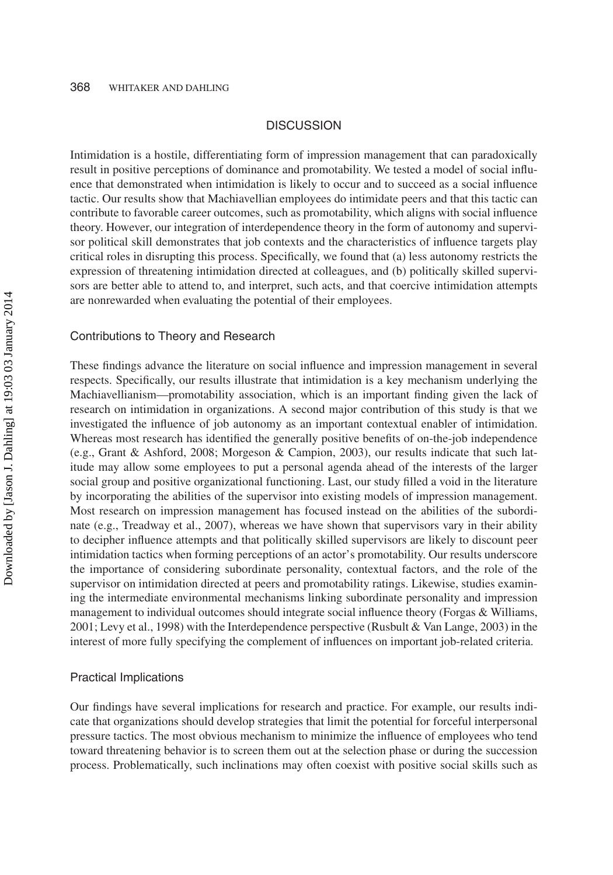## **DISCUSSION**

Intimidation is a hostile, differentiating form of impression management that can paradoxically result in positive perceptions of dominance and promotability. We tested a model of social influence that demonstrated when intimidation is likely to occur and to succeed as a social influence tactic. Our results show that Machiavellian employees do intimidate peers and that this tactic can contribute to favorable career outcomes, such as promotability, which aligns with social influence theory. However, our integration of interdependence theory in the form of autonomy and supervisor political skill demonstrates that job contexts and the characteristics of influence targets play critical roles in disrupting this process. Specifically, we found that (a) less autonomy restricts the expression of threatening intimidation directed at colleagues, and (b) politically skilled supervisors are better able to attend to, and interpret, such acts, and that coercive intimidation attempts are nonrewarded when evaluating the potential of their employees.

## Contributions to Theory and Research

These findings advance the literature on social influence and impression management in several respects. Specifically, our results illustrate that intimidation is a key mechanism underlying the Machiavellianism—promotability association, which is an important finding given the lack of research on intimidation in organizations. A second major contribution of this study is that we investigated the influence of job autonomy as an important contextual enabler of intimidation. Whereas most research has identified the generally positive benefits of on-the-job independence (e.g., Grant & Ashford, 2008; Morgeson & Campion, 2003), our results indicate that such latitude may allow some employees to put a personal agenda ahead of the interests of the larger social group and positive organizational functioning. Last, our study filled a void in the literature by incorporating the abilities of the supervisor into existing models of impression management. Most research on impression management has focused instead on the abilities of the subordinate (e.g., Treadway et al., 2007), whereas we have shown that supervisors vary in their ability to decipher influence attempts and that politically skilled supervisors are likely to discount peer intimidation tactics when forming perceptions of an actor's promotability. Our results underscore the importance of considering subordinate personality, contextual factors, and the role of the supervisor on intimidation directed at peers and promotability ratings. Likewise, studies examining the intermediate environmental mechanisms linking subordinate personality and impression management to individual outcomes should integrate social influence theory (Forgas & Williams, 2001; Levy et al., 1998) with the Interdependence perspective (Rusbult & Van Lange, 2003) in the interest of more fully specifying the complement of influences on important job-related criteria.

## Practical Implications

Our findings have several implications for research and practice. For example, our results indicate that organizations should develop strategies that limit the potential for forceful interpersonal pressure tactics. The most obvious mechanism to minimize the influence of employees who tend toward threatening behavior is to screen them out at the selection phase or during the succession process. Problematically, such inclinations may often coexist with positive social skills such as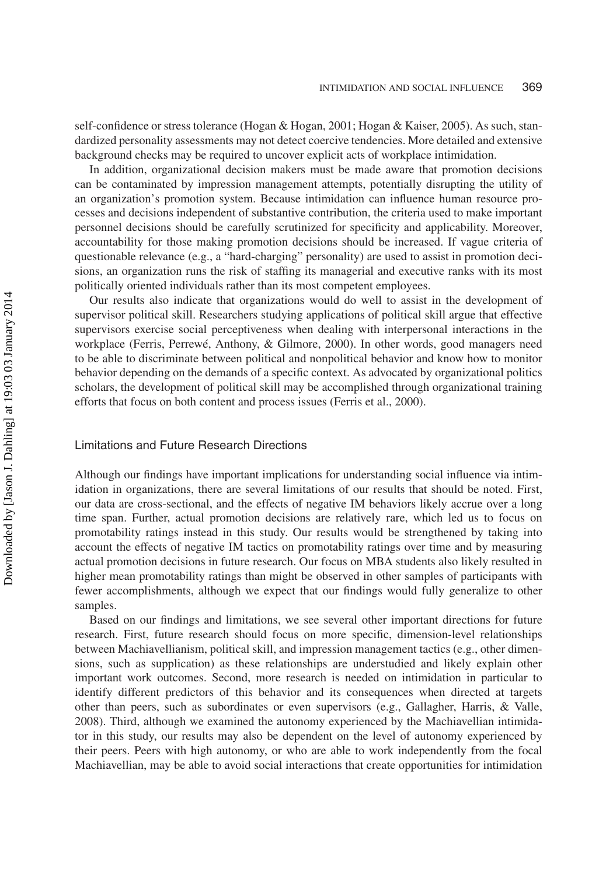self-confidence or stress tolerance (Hogan & Hogan, 2001; Hogan & Kaiser, 2005). As such, standardized personality assessments may not detect coercive tendencies. More detailed and extensive background checks may be required to uncover explicit acts of workplace intimidation.

In addition, organizational decision makers must be made aware that promotion decisions can be contaminated by impression management attempts, potentially disrupting the utility of an organization's promotion system. Because intimidation can influence human resource processes and decisions independent of substantive contribution, the criteria used to make important personnel decisions should be carefully scrutinized for specificity and applicability. Moreover, accountability for those making promotion decisions should be increased. If vague criteria of questionable relevance (e.g., a "hard-charging" personality) are used to assist in promotion decisions, an organization runs the risk of staffing its managerial and executive ranks with its most politically oriented individuals rather than its most competent employees.

Our results also indicate that organizations would do well to assist in the development of supervisor political skill. Researchers studying applications of political skill argue that effective supervisors exercise social perceptiveness when dealing with interpersonal interactions in the workplace (Ferris, Perrewé, Anthony, & Gilmore, 2000). In other words, good managers need to be able to discriminate between political and nonpolitical behavior and know how to monitor behavior depending on the demands of a specific context. As advocated by organizational politics scholars, the development of political skill may be accomplished through organizational training efforts that focus on both content and process issues (Ferris et al., 2000).

## Limitations and Future Research Directions

Although our findings have important implications for understanding social influence via intimidation in organizations, there are several limitations of our results that should be noted. First, our data are cross-sectional, and the effects of negative IM behaviors likely accrue over a long time span. Further, actual promotion decisions are relatively rare, which led us to focus on promotability ratings instead in this study. Our results would be strengthened by taking into account the effects of negative IM tactics on promotability ratings over time and by measuring actual promotion decisions in future research. Our focus on MBA students also likely resulted in higher mean promotability ratings than might be observed in other samples of participants with fewer accomplishments, although we expect that our findings would fully generalize to other samples.

Based on our findings and limitations, we see several other important directions for future research. First, future research should focus on more specific, dimension-level relationships between Machiavellianism, political skill, and impression management tactics (e.g., other dimensions, such as supplication) as these relationships are understudied and likely explain other important work outcomes. Second, more research is needed on intimidation in particular to identify different predictors of this behavior and its consequences when directed at targets other than peers, such as subordinates or even supervisors (e.g., Gallagher, Harris, & Valle, 2008). Third, although we examined the autonomy experienced by the Machiavellian intimidator in this study, our results may also be dependent on the level of autonomy experienced by their peers. Peers with high autonomy, or who are able to work independently from the focal Machiavellian, may be able to avoid social interactions that create opportunities for intimidation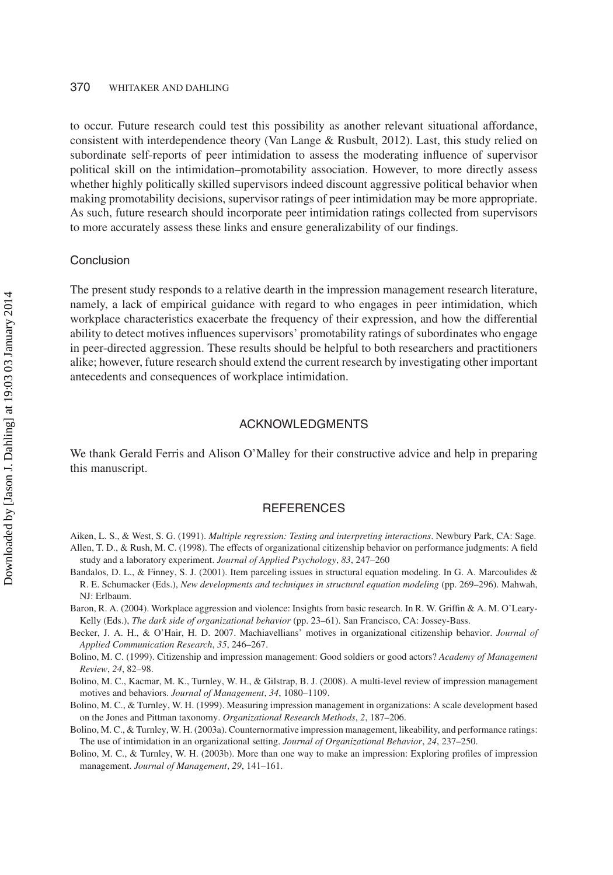to occur. Future research could test this possibility as another relevant situational affordance, consistent with interdependence theory (Van Lange & Rusbult, 2012). Last, this study relied on subordinate self-reports of peer intimidation to assess the moderating influence of supervisor political skill on the intimidation–promotability association. However, to more directly assess whether highly politically skilled supervisors indeed discount aggressive political behavior when making promotability decisions, supervisor ratings of peer intimidation may be more appropriate. As such, future research should incorporate peer intimidation ratings collected from supervisors to more accurately assess these links and ensure generalizability of our findings.

## Conclusion

The present study responds to a relative dearth in the impression management research literature, namely, a lack of empirical guidance with regard to who engages in peer intimidation, which workplace characteristics exacerbate the frequency of their expression, and how the differential ability to detect motives influences supervisors' promotability ratings of subordinates who engage in peer-directed aggression. These results should be helpful to both researchers and practitioners alike; however, future research should extend the current research by investigating other important antecedents and consequences of workplace intimidation.

## ACKNOWLEDGMENTS

We thank Gerald Ferris and Alison O'Malley for their constructive advice and help in preparing this manuscript.

## **REFERENCES**

- Aiken, L. S., & West, S. G. (1991). *Multiple regression: Testing and interpreting interactions*. Newbury Park, CA: Sage. Allen, T. D., & Rush, M. C. (1998). The effects of organizational citizenship behavior on performance judgments: A field study and a laboratory experiment. *Journal of Applied Psychology*, *83*, 247–260
- Bandalos, D. L., & Finney, S. J. (2001). Item parceling issues in structural equation modeling. In G. A. Marcoulides & R. E. Schumacker (Eds.), *New developments and techniques in structural equation modeling* (pp. 269–296). Mahwah, NJ: Erlbaum.
- Baron, R. A. (2004). Workplace aggression and violence: Insights from basic research. In R. W. Griffin & A. M. O'Leary-Kelly (Eds.), *The dark side of organizational behavior* (pp. 23–61). San Francisco, CA: Jossey-Bass.
- Becker, J. A. H., & O'Hair, H. D. 2007. Machiavellians' motives in organizational citizenship behavior. *Journal of Applied Communication Research*, *35*, 246–267.
- Bolino, M. C. (1999). Citizenship and impression management: Good soldiers or good actors? *Academy of Management Review*, *24*, 82–98.
- Bolino, M. C., Kacmar, M. K., Turnley, W. H., & Gilstrap, B. J. (2008). A multi-level review of impression management motives and behaviors. *Journal of Management*, *34*, 1080–1109.
- Bolino, M. C., & Turnley, W. H. (1999). Measuring impression management in organizations: A scale development based on the Jones and Pittman taxonomy. *Organizational Research Methods*, *2*, 187–206.
- Bolino, M. C., & Turnley, W. H. (2003a). Counternormative impression management, likeability, and performance ratings: The use of intimidation in an organizational setting. *Journal of Organizational Behavior*, *24*, 237–250.
- Bolino, M. C., & Turnley, W. H. (2003b). More than one way to make an impression: Exploring profiles of impression management. *Journal of Management*, *29*, 141–161.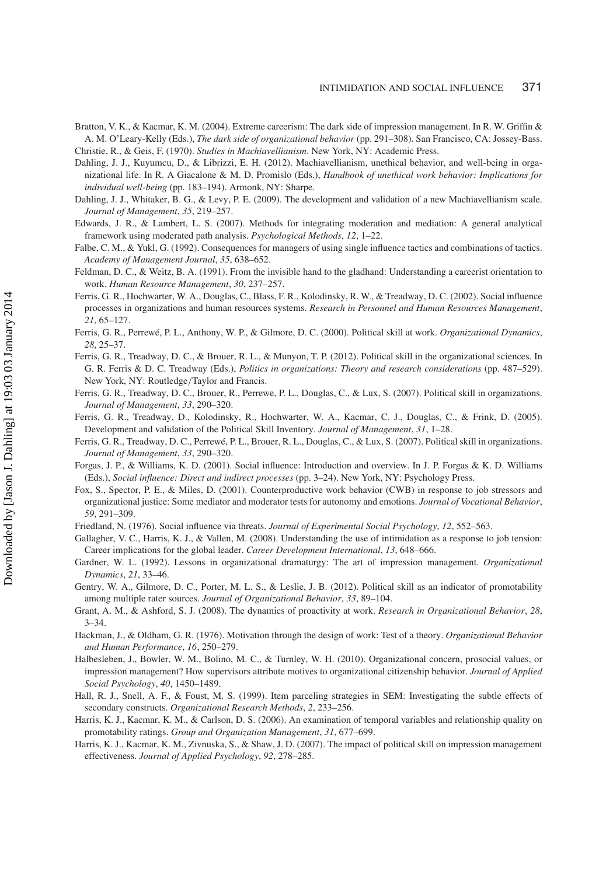Bratton, V. K., & Kacmar, K. M. (2004). Extreme careerism: The dark side of impression management. In R. W. Griffin & A. M. O'Leary-Kelly (Eds.), *The dark side of organizational behavior* (pp. 291–308). San Francisco, CA: Jossey-Bass. Christie, R., & Geis, F. (1970). *Studies in Machiavellianism*. New York, NY: Academic Press.

- Dahling, J. J., Kuyumcu, D., & Librizzi, E. H. (2012). Machiavellianism, unethical behavior, and well-being in organizational life. In R. A Giacalone & M. D. Promislo (Eds.), *Handbook of unethical work behavior: Implications for individual well-being* (pp. 183–194). Armonk, NY: Sharpe.
- Dahling, J. J., Whitaker, B. G., & Levy, P. E. (2009). The development and validation of a new Machiavellianism scale. *Journal of Management*, *35*, 219–257.
- Edwards, J. R., & Lambert, L. S. (2007). Methods for integrating moderation and mediation: A general analytical framework using moderated path analysis. *Psychological Methods*, *12*, 1–22.
- Falbe, C. M., & Yukl, G. (1992). Consequences for managers of using single influence tactics and combinations of tactics. *Academy of Management Journal*, *35*, 638–652.
- Feldman, D. C., & Weitz, B. A. (1991). From the invisible hand to the gladhand: Understanding a careerist orientation to work. *Human Resource Management*, *30*, 237–257.
- Ferris, G. R., Hochwarter, W. A., Douglas, C., Blass, F. R., Kolodinsky, R. W., & Treadway, D. C. (2002). Social influence processes in organizations and human resources systems. *Research in Personnel and Human Resources Management*, *21*, 65–127.
- Ferris, G. R., Perrewé, P. L., Anthony, W. P., & Gilmore, D. C. (2000). Political skill at work. *Organizational Dynamics*, *28*, 25–37.
- Ferris, G. R., Treadway, D. C., & Brouer, R. L., & Munyon, T. P. (2012). Political skill in the organizational sciences. In G. R. Ferris & D. C. Treadway (Eds.), *Politics in organizations: Theory and research considerations* (pp. 487–529). New York, NY: Routledge/Taylor and Francis.
- Ferris, G. R., Treadway, D. C., Brouer, R., Perrewe, P. L., Douglas, C., & Lux, S. (2007). Political skill in organizations. *Journal of Management*, *33*, 290–320.
- Ferris, G. R., Treadway, D., Kolodinsky, R., Hochwarter, W. A., Kacmar, C. J., Douglas, C., & Frink, D. (2005). Development and validation of the Political Skill Inventory. *Journal of Management*, *31*, 1–28.
- Ferris, G. R., Treadway, D. C., Perrewé, P. L., Brouer, R. L., Douglas, C., & Lux, S. (2007). Political skill in organizations. *Journal of Management*, *33*, 290–320.
- Forgas, J. P., & Williams, K. D. (2001). Social influence: Introduction and overview. In J. P. Forgas & K. D. Williams (Eds.), *Social influence: Direct and indirect processes* (pp. 3–24). New York, NY: Psychology Press.
- Fox, S., Spector, P. E., & Miles, D. (2001). Counterproductive work behavior (CWB) in response to job stressors and organizational justice: Some mediator and moderator tests for autonomy and emotions. *Journal of Vocational Behavior*, *59*, 291–309.
- Friedland, N. (1976). Social influence via threats. *Journal of Experimental Social Psychology*, *12*, 552–563.
- Gallagher, V. C., Harris, K. J., & Vallen, M. (2008). Understanding the use of intimidation as a response to job tension: Career implications for the global leader. *Career Development International*, *13*, 648–666.
- Gardner, W. L. (1992). Lessons in organizational dramaturgy: The art of impression management. *Organizational Dynamics*, *21*, 33–46.
- Gentry, W. A., Gilmore, D. C., Porter, M. L. S., & Leslie, J. B. (2012). Political skill as an indicator of promotability among multiple rater sources. *Journal of Organizational Behavior*, *33*, 89–104.
- Grant, A. M., & Ashford, S. J. (2008). The dynamics of proactivity at work. *Research in Organizational Behavior*, *28*, 3–34.
- Hackman, J., & Oldham, G. R. (1976). Motivation through the design of work: Test of a theory. *Organizational Behavior and Human Performance*, *16*, 250–279.
- Halbesleben, J., Bowler, W. M., Bolino, M. C., & Turnley, W. H. (2010). Organizational concern, prosocial values, or impression management? How supervisors attribute motives to organizational citizenship behavior. *Journal of Applied Social Psychology*, *40*, 1450–1489.
- Hall, R. J., Snell, A. F., & Foust, M. S. (1999). Item parceling strategies in SEM: Investigating the subtle effects of secondary constructs. *Organizational Research Methods*, *2*, 233–256.
- Harris, K. J., Kacmar, K. M., & Carlson, D. S. (2006). An examination of temporal variables and relationship quality on promotability ratings. *Group and Organization Management*, *31*, 677–699.
- Harris, K. J., Kacmar, K. M., Zivnuska, S., & Shaw, J. D. (2007). The impact of political skill on impression management effectiveness. *Journal of Applied Psychology*, *92*, 278–285.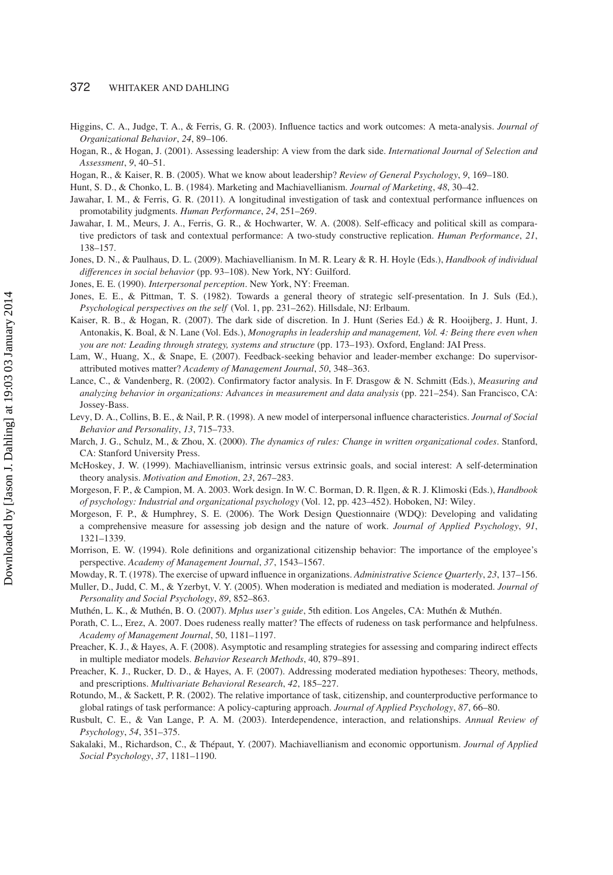- Higgins, C. A., Judge, T. A., & Ferris, G. R. (2003). Influence tactics and work outcomes: A meta-analysis. *Journal of Organizational Behavior*, *24*, 89–106.
- Hogan, R., & Hogan, J. (2001). Assessing leadership: A view from the dark side. *International Journal of Selection and Assessment*, *9*, 40–51.
- Hogan, R., & Kaiser, R. B. (2005). What we know about leadership? *Review of General Psychology*, *9*, 169–180.
- Hunt, S. D., & Chonko, L. B. (1984). Marketing and Machiavellianism. *Journal of Marketing*, *48*, 30–42.
- Jawahar, I. M., & Ferris, G. R. (2011). A longitudinal investigation of task and contextual performance influences on promotability judgments. *Human Performance*, *24*, 251–269.
- Jawahar, I. M., Meurs, J. A., Ferris, G. R., & Hochwarter, W. A. (2008). Self-efficacy and political skill as comparative predictors of task and contextual performance: A two-study constructive replication. *Human Performance*, *21*, 138–157.
- Jones, D. N., & Paulhaus, D. L. (2009). Machiavellianism. In M. R. Leary & R. H. Hoyle (Eds.), *Handbook of individual differences in social behavior* (pp. 93–108). New York, NY: Guilford.
- Jones, E. E. (1990). *Interpersonal perception*. New York, NY: Freeman.
- Jones, E. E., & Pittman, T. S. (1982). Towards a general theory of strategic self-presentation. In J. Suls (Ed.), *Psychological perspectives on the self* (Vol. 1, pp. 231–262). Hillsdale, NJ: Erlbaum.
- Kaiser, R. B., & Hogan, R. (2007). The dark side of discretion. In J. Hunt (Series Ed.) & R. Hooijberg, J. Hunt, J. Antonakis, K. Boal, & N. Lane (Vol. Eds.), *Monographs in leadership and management, Vol. 4: Being there even when you are not: Leading through strategy, systems and structure* (pp. 173–193). Oxford, England: JAI Press.
- Lam, W., Huang, X., & Snape, E. (2007). Feedback-seeking behavior and leader-member exchange: Do supervisorattributed motives matter? *Academy of Management Journal*, *50*, 348–363.
- Lance, C., & Vandenberg, R. (2002). Confirmatory factor analysis. In F. Drasgow & N. Schmitt (Eds.), *Measuring and analyzing behavior in organizations: Advances in measurement and data analysis* (pp. 221–254). San Francisco, CA: Jossey-Bass.
- Levy, D. A., Collins, B. E., & Nail, P. R. (1998). A new model of interpersonal influence characteristics. *Journal of Social Behavior and Personality*, *13*, 715–733.
- March, J. G., Schulz, M., & Zhou, X. (2000). *The dynamics of rules: Change in written organizational codes*. Stanford, CA: Stanford University Press.
- McHoskey, J. W. (1999). Machiavellianism, intrinsic versus extrinsic goals, and social interest: A self-determination theory analysis. *Motivation and Emotion*, *23*, 267–283.
- Morgeson, F. P., & Campion, M. A. 2003. Work design. In W. C. Borman, D. R. Ilgen, & R. J. Klimoski (Eds.), *Handbook of psychology: Industrial and organizational psychology* (Vol. 12, pp. 423–452). Hoboken, NJ: Wiley.
- Morgeson, F. P., & Humphrey, S. E. (2006). The Work Design Questionnaire (WDQ): Developing and validating a comprehensive measure for assessing job design and the nature of work. *Journal of Applied Psychology*, *91*, 1321–1339.
- Morrison, E. W. (1994). Role definitions and organizational citizenship behavior: The importance of the employee's perspective. *Academy of Management Journal*, *37*, 1543–1567.
- Mowday, R. T. (1978). The exercise of upward influence in organizations. *Administrative Science Quarterly*, *23*, 137–156.
- Muller, D., Judd, C. M., & Yzerbyt, V. Y. (2005). When moderation is mediated and mediation is moderated. *Journal of Personality and Social Psychology*, *89*, 852–863.
- Muthén, L. K., & Muthén, B. O. (2007). *Mplus user's guide*, 5th edition. Los Angeles, CA: Muthén & Muthén.
- Porath, C. L., Erez, A. 2007. Does rudeness really matter? The effects of rudeness on task performance and helpfulness. *Academy of Management Journal*, 50, 1181–1197.
- Preacher, K. J., & Hayes, A. F. (2008). Asymptotic and resampling strategies for assessing and comparing indirect effects in multiple mediator models. *Behavior Research Methods*, 40, 879–891.
- Preacher, K. J., Rucker, D. D., & Hayes, A. F. (2007). Addressing moderated mediation hypotheses: Theory, methods, and prescriptions. *Multivariate Behavioral Research*, *42*, 185–227.
- Rotundo, M., & Sackett, P. R. (2002). The relative importance of task, citizenship, and counterproductive performance to global ratings of task performance: A policy-capturing approach. *Journal of Applied Psychology*, *87*, 66–80.
- Rusbult, C. E., & Van Lange, P. A. M. (2003). Interdependence, interaction, and relationships. *Annual Review of Psychology*, *54*, 351–375.
- Sakalaki, M., Richardson, C., & Thépaut, Y. (2007). Machiavellianism and economic opportunism. *Journal of Applied Social Psychology*, *37*, 1181–1190.